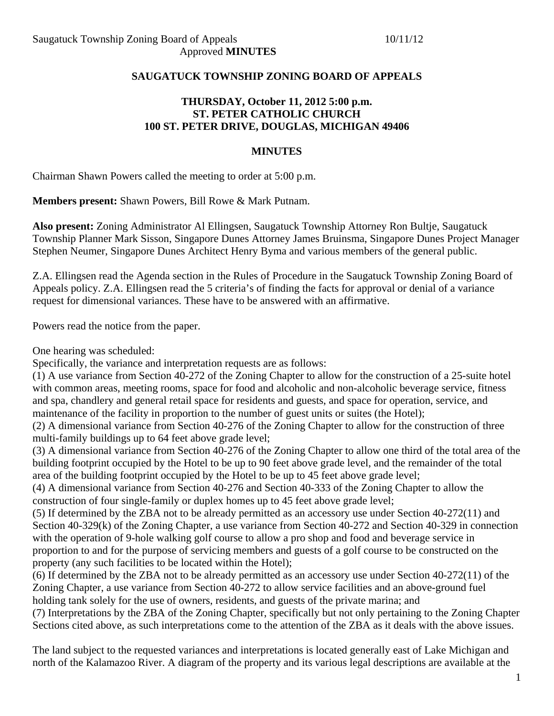### **SAUGATUCK TOWNSHIP ZONING BOARD OF APPEALS**

## **THURSDAY, October 11, 2012 5:00 p.m. ST. PETER CATHOLIC CHURCH 100 ST. PETER DRIVE, DOUGLAS, MICHIGAN 49406**

#### **MINUTES**

Chairman Shawn Powers called the meeting to order at 5:00 p.m.

**Members present:** Shawn Powers, Bill Rowe & Mark Putnam.

**Also present:** Zoning Administrator Al Ellingsen, Saugatuck Township Attorney Ron Bultje, Saugatuck Township Planner Mark Sisson, Singapore Dunes Attorney James Bruinsma, Singapore Dunes Project Manager Stephen Neumer, Singapore Dunes Architect Henry Byma and various members of the general public.

Z.A. Ellingsen read the Agenda section in the Rules of Procedure in the Saugatuck Township Zoning Board of Appeals policy. Z.A. Ellingsen read the 5 criteria's of finding the facts for approval or denial of a variance request for dimensional variances. These have to be answered with an affirmative.

Powers read the notice from the paper.

One hearing was scheduled:

Specifically, the variance and interpretation requests are as follows:

(1) A use variance from Section 40-272 of the Zoning Chapter to allow for the construction of a 25-suite hotel with common areas, meeting rooms, space for food and alcoholic and non-alcoholic beverage service, fitness and spa, chandlery and general retail space for residents and guests, and space for operation, service, and maintenance of the facility in proportion to the number of guest units or suites (the Hotel);

(2) A dimensional variance from Section 40-276 of the Zoning Chapter to allow for the construction of three multi-family buildings up to 64 feet above grade level;

(3) A dimensional variance from Section 40-276 of the Zoning Chapter to allow one third of the total area of the building footprint occupied by the Hotel to be up to 90 feet above grade level, and the remainder of the total area of the building footprint occupied by the Hotel to be up to 45 feet above grade level;

(4) A dimensional variance from Section 40-276 and Section 40-333 of the Zoning Chapter to allow the construction of four single-family or duplex homes up to 45 feet above grade level;

(5) If determined by the ZBA not to be already permitted as an accessory use under Section 40-272(11) and Section 40-329(k) of the Zoning Chapter, a use variance from Section 40-272 and Section 40-329 in connection with the operation of 9-hole walking golf course to allow a pro shop and food and beverage service in proportion to and for the purpose of servicing members and guests of a golf course to be constructed on the property (any such facilities to be located within the Hotel);

(6) If determined by the ZBA not to be already permitted as an accessory use under Section 40-272(11) of the Zoning Chapter, a use variance from Section 40-272 to allow service facilities and an above-ground fuel holding tank solely for the use of owners, residents, and guests of the private marina; and

(7) Interpretations by the ZBA of the Zoning Chapter, specifically but not only pertaining to the Zoning Chapter Sections cited above, as such interpretations come to the attention of the ZBA as it deals with the above issues.

The land subject to the requested variances and interpretations is located generally east of Lake Michigan and north of the Kalamazoo River. A diagram of the property and its various legal descriptions are available at the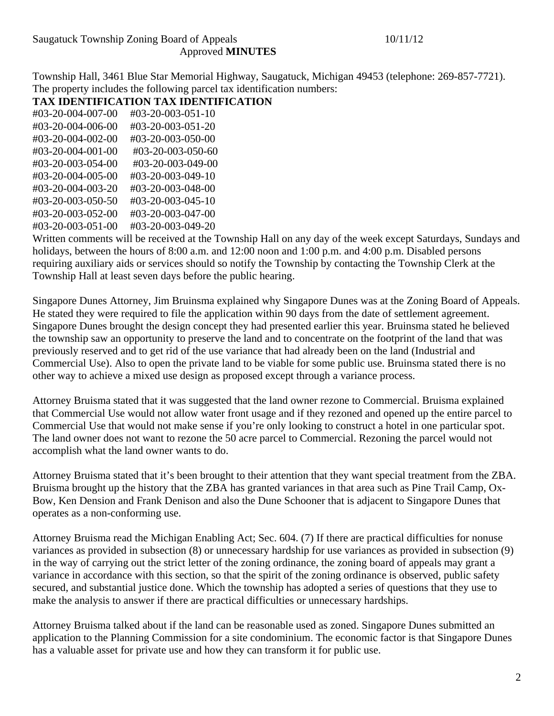Township Hall, 3461 Blue Star Memorial Highway, Saugatuck, Michigan 49453 (telephone: 269-857-7721). The property includes the following parcel tax identification numbers:

## **TAX IDENTIFICATION TAX IDENTIFICATION**

| #03-20-004-007-00 | #03-20-003-051-10 |
|-------------------|-------------------|
| #03-20-004-006-00 | #03-20-003-051-20 |
| #03-20-004-002-00 | #03-20-003-050-00 |
| #03-20-004-001-00 | #03-20-003-050-60 |
| #03-20-003-054-00 | #03-20-003-049-00 |
| #03-20-004-005-00 | #03-20-003-049-10 |
| #03-20-004-003-20 | #03-20-003-048-00 |
| #03-20-003-050-50 | #03-20-003-045-10 |
| #03-20-003-052-00 | #03-20-003-047-00 |
| #03-20-003-051-00 | #03-20-003-049-20 |
|                   |                   |

Written comments will be received at the Township Hall on any day of the week except Saturdays, Sundays and holidays, between the hours of 8:00 a.m. and 12:00 noon and 1:00 p.m. and 4:00 p.m. Disabled persons requiring auxiliary aids or services should so notify the Township by contacting the Township Clerk at the Township Hall at least seven days before the public hearing.

Singapore Dunes Attorney, Jim Bruinsma explained why Singapore Dunes was at the Zoning Board of Appeals. He stated they were required to file the application within 90 days from the date of settlement agreement. Singapore Dunes brought the design concept they had presented earlier this year. Bruinsma stated he believed the township saw an opportunity to preserve the land and to concentrate on the footprint of the land that was previously reserved and to get rid of the use variance that had already been on the land (Industrial and Commercial Use). Also to open the private land to be viable for some public use. Bruinsma stated there is no other way to achieve a mixed use design as proposed except through a variance process.

Attorney Bruisma stated that it was suggested that the land owner rezone to Commercial. Bruisma explained that Commercial Use would not allow water front usage and if they rezoned and opened up the entire parcel to Commercial Use that would not make sense if you're only looking to construct a hotel in one particular spot. The land owner does not want to rezone the 50 acre parcel to Commercial. Rezoning the parcel would not accomplish what the land owner wants to do.

Attorney Bruisma stated that it's been brought to their attention that they want special treatment from the ZBA. Bruisma brought up the history that the ZBA has granted variances in that area such as Pine Trail Camp, Ox-Bow, Ken Dension and Frank Denison and also the Dune Schooner that is adjacent to Singapore Dunes that operates as a non-conforming use.

Attorney Bruisma read the Michigan Enabling Act; Sec. 604. (7) If there are practical difficulties for nonuse variances as provided in subsection (8) or unnecessary hardship for use variances as provided in subsection (9) in the way of carrying out the strict letter of the zoning ordinance, the zoning board of appeals may grant a variance in accordance with this section, so that the spirit of the zoning ordinance is observed, public safety secured, and substantial justice done. Which the township has adopted a series of questions that they use to make the analysis to answer if there are practical difficulties or unnecessary hardships.

Attorney Bruisma talked about if the land can be reasonable used as zoned. Singapore Dunes submitted an application to the Planning Commission for a site condominium. The economic factor is that Singapore Dunes has a valuable asset for private use and how they can transform it for public use.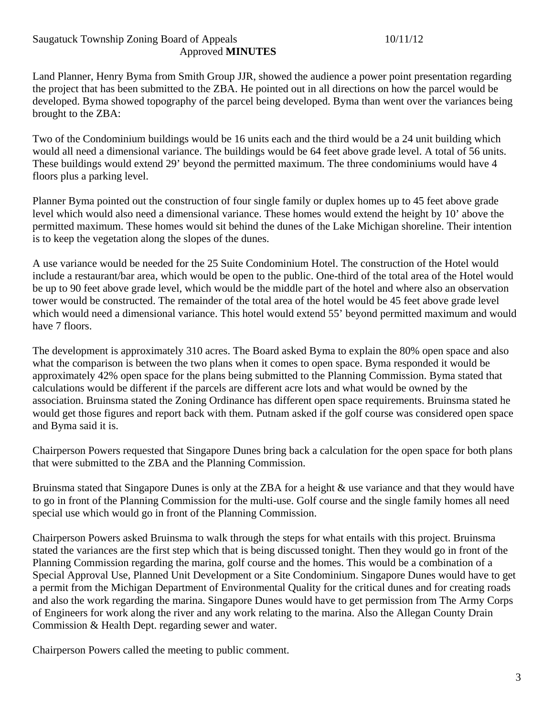Land Planner, Henry Byma from Smith Group JJR, showed the audience a power point presentation regarding the project that has been submitted to the ZBA. He pointed out in all directions on how the parcel would be developed. Byma showed topography of the parcel being developed. Byma than went over the variances being brought to the ZBA:

Two of the Condominium buildings would be 16 units each and the third would be a 24 unit building which would all need a dimensional variance. The buildings would be 64 feet above grade level. A total of 56 units. These buildings would extend 29' beyond the permitted maximum. The three condominiums would have 4 floors plus a parking level.

Planner Byma pointed out the construction of four single family or duplex homes up to 45 feet above grade level which would also need a dimensional variance. These homes would extend the height by 10' above the permitted maximum. These homes would sit behind the dunes of the Lake Michigan shoreline. Their intention is to keep the vegetation along the slopes of the dunes.

A use variance would be needed for the 25 Suite Condominium Hotel. The construction of the Hotel would include a restaurant/bar area, which would be open to the public. One-third of the total area of the Hotel would be up to 90 feet above grade level, which would be the middle part of the hotel and where also an observation tower would be constructed. The remainder of the total area of the hotel would be 45 feet above grade level which would need a dimensional variance. This hotel would extend 55' beyond permitted maximum and would have 7 floors.

The development is approximately 310 acres. The Board asked Byma to explain the 80% open space and also what the comparison is between the two plans when it comes to open space. Byma responded it would be approximately 42% open space for the plans being submitted to the Planning Commission. Byma stated that calculations would be different if the parcels are different acre lots and what would be owned by the association. Bruinsma stated the Zoning Ordinance has different open space requirements. Bruinsma stated he would get those figures and report back with them. Putnam asked if the golf course was considered open space and Byma said it is.

Chairperson Powers requested that Singapore Dunes bring back a calculation for the open space for both plans that were submitted to the ZBA and the Planning Commission.

Bruinsma stated that Singapore Dunes is only at the ZBA for a height & use variance and that they would have to go in front of the Planning Commission for the multi-use. Golf course and the single family homes all need special use which would go in front of the Planning Commission.

Chairperson Powers asked Bruinsma to walk through the steps for what entails with this project. Bruinsma stated the variances are the first step which that is being discussed tonight. Then they would go in front of the Planning Commission regarding the marina, golf course and the homes. This would be a combination of a Special Approval Use, Planned Unit Development or a Site Condominium. Singapore Dunes would have to get a permit from the Michigan Department of Environmental Quality for the critical dunes and for creating roads and also the work regarding the marina. Singapore Dunes would have to get permission from The Army Corps of Engineers for work along the river and any work relating to the marina. Also the Allegan County Drain Commission & Health Dept. regarding sewer and water.

Chairperson Powers called the meeting to public comment.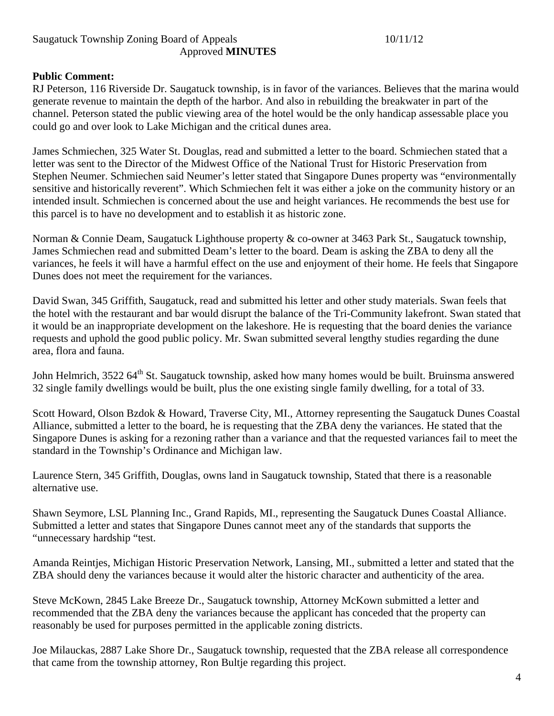### **Public Comment:**

RJ Peterson, 116 Riverside Dr. Saugatuck township, is in favor of the variances. Believes that the marina would generate revenue to maintain the depth of the harbor. And also in rebuilding the breakwater in part of the channel. Peterson stated the public viewing area of the hotel would be the only handicap assessable place you could go and over look to Lake Michigan and the critical dunes area.

James Schmiechen, 325 Water St. Douglas, read and submitted a letter to the board. Schmiechen stated that a letter was sent to the Director of the Midwest Office of the National Trust for Historic Preservation from Stephen Neumer. Schmiechen said Neumer's letter stated that Singapore Dunes property was "environmentally sensitive and historically reverent". Which Schmiechen felt it was either a joke on the community history or an intended insult. Schmiechen is concerned about the use and height variances. He recommends the best use for this parcel is to have no development and to establish it as historic zone.

Norman & Connie Deam, Saugatuck Lighthouse property & co-owner at 3463 Park St., Saugatuck township, James Schmiechen read and submitted Deam's letter to the board. Deam is asking the ZBA to deny all the variances, he feels it will have a harmful effect on the use and enjoyment of their home. He feels that Singapore Dunes does not meet the requirement for the variances.

David Swan, 345 Griffith, Saugatuck, read and submitted his letter and other study materials. Swan feels that the hotel with the restaurant and bar would disrupt the balance of the Tri-Community lakefront. Swan stated that it would be an inappropriate development on the lakeshore. He is requesting that the board denies the variance requests and uphold the good public policy. Mr. Swan submitted several lengthy studies regarding the dune area, flora and fauna.

John Helmrich, 3522 64<sup>th</sup> St. Saugatuck township, asked how many homes would be built. Bruinsma answered 32 single family dwellings would be built, plus the one existing single family dwelling, for a total of 33.

Scott Howard, Olson Bzdok & Howard, Traverse City, MI., Attorney representing the Saugatuck Dunes Coastal Alliance, submitted a letter to the board, he is requesting that the ZBA deny the variances. He stated that the Singapore Dunes is asking for a rezoning rather than a variance and that the requested variances fail to meet the standard in the Township's Ordinance and Michigan law.

Laurence Stern, 345 Griffith, Douglas, owns land in Saugatuck township, Stated that there is a reasonable alternative use.

Shawn Seymore, LSL Planning Inc., Grand Rapids, MI., representing the Saugatuck Dunes Coastal Alliance. Submitted a letter and states that Singapore Dunes cannot meet any of the standards that supports the "unnecessary hardship "test.

Amanda Reintjes, Michigan Historic Preservation Network, Lansing, MI., submitted a letter and stated that the ZBA should deny the variances because it would alter the historic character and authenticity of the area.

Steve McKown, 2845 Lake Breeze Dr., Saugatuck township, Attorney McKown submitted a letter and recommended that the ZBA deny the variances because the applicant has conceded that the property can reasonably be used for purposes permitted in the applicable zoning districts.

Joe Milauckas, 2887 Lake Shore Dr., Saugatuck township, requested that the ZBA release all correspondence that came from the township attorney, Ron Bultje regarding this project.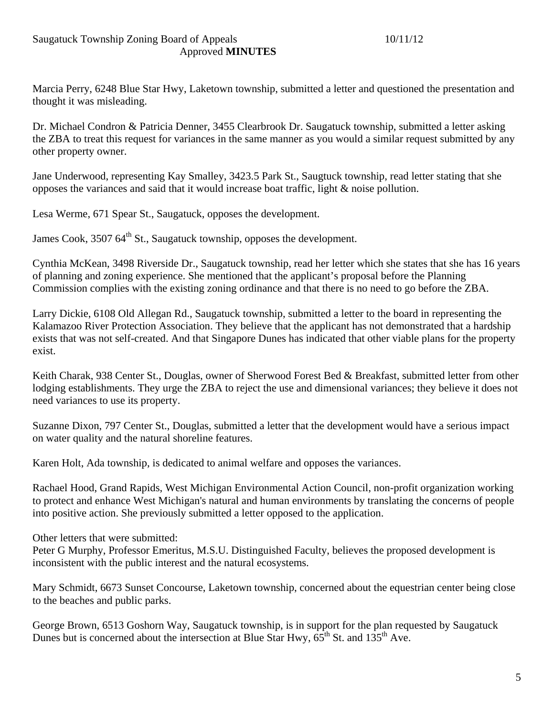Marcia Perry, 6248 Blue Star Hwy, Laketown township, submitted a letter and questioned the presentation and thought it was misleading.

Dr. Michael Condron & Patricia Denner, 3455 Clearbrook Dr. Saugatuck township, submitted a letter asking the ZBA to treat this request for variances in the same manner as you would a similar request submitted by any other property owner.

Jane Underwood, representing Kay Smalley, 3423.5 Park St., Saugtuck township, read letter stating that she opposes the variances and said that it would increase boat traffic, light & noise pollution.

Lesa Werme, 671 Spear St., Saugatuck, opposes the development.

James Cook, 3507 64<sup>th</sup> St., Saugatuck township, opposes the development.

Cynthia McKean, 3498 Riverside Dr., Saugatuck township, read her letter which she states that she has 16 years of planning and zoning experience. She mentioned that the applicant's proposal before the Planning Commission complies with the existing zoning ordinance and that there is no need to go before the ZBA.

Larry Dickie, 6108 Old Allegan Rd., Saugatuck township, submitted a letter to the board in representing the Kalamazoo River Protection Association. They believe that the applicant has not demonstrated that a hardship exists that was not self-created. And that Singapore Dunes has indicated that other viable plans for the property exist.

Keith Charak, 938 Center St., Douglas, owner of Sherwood Forest Bed & Breakfast, submitted letter from other lodging establishments. They urge the ZBA to reject the use and dimensional variances; they believe it does not need variances to use its property.

Suzanne Dixon, 797 Center St., Douglas, submitted a letter that the development would have a serious impact on water quality and the natural shoreline features.

Karen Holt, Ada township, is dedicated to animal welfare and opposes the variances.

Rachael Hood, Grand Rapids, West Michigan Environmental Action Council, non-profit organization working to protect and enhance West Michigan's natural and human environments by translating the concerns of people into positive action. She previously submitted a letter opposed to the application.

Other letters that were submitted:

Peter G Murphy, Professor Emeritus, M.S.U. Distinguished Faculty, believes the proposed development is inconsistent with the public interest and the natural ecosystems.

Mary Schmidt, 6673 Sunset Concourse, Laketown township, concerned about the equestrian center being close to the beaches and public parks.

George Brown, 6513 Goshorn Way, Saugatuck township, is in support for the plan requested by Saugatuck Dunes but is concerned about the intersection at Blue Star Hwy,  $65^{th}$  St. and  $135^{th}$  Ave.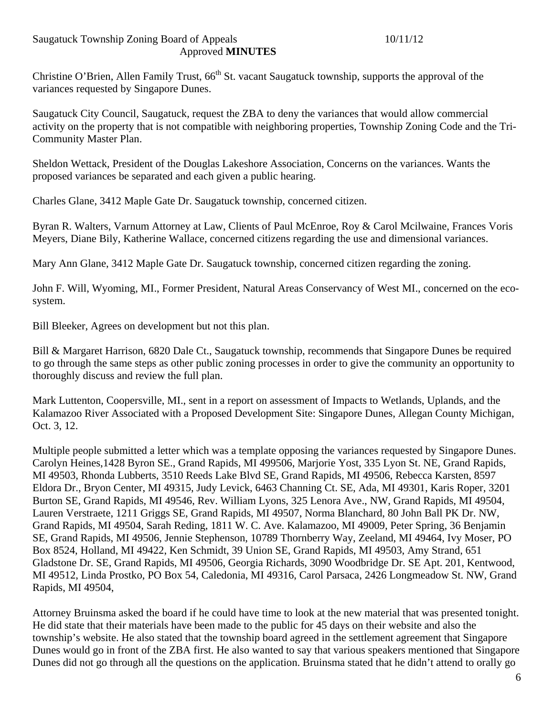Christine O'Brien, Allen Family Trust, 66<sup>th</sup> St. vacant Saugatuck township, supports the approval of the variances requested by Singapore Dunes.

Saugatuck City Council, Saugatuck, request the ZBA to deny the variances that would allow commercial activity on the property that is not compatible with neighboring properties, Township Zoning Code and the Tri-Community Master Plan.

Sheldon Wettack, President of the Douglas Lakeshore Association, Concerns on the variances. Wants the proposed variances be separated and each given a public hearing.

Charles Glane, 3412 Maple Gate Dr. Saugatuck township, concerned citizen.

Byran R. Walters, Varnum Attorney at Law, Clients of Paul McEnroe, Roy & Carol Mcilwaine, Frances Voris Meyers, Diane Bily, Katherine Wallace, concerned citizens regarding the use and dimensional variances.

Mary Ann Glane, 3412 Maple Gate Dr. Saugatuck township, concerned citizen regarding the zoning.

John F. Will, Wyoming, MI., Former President, Natural Areas Conservancy of West MI., concerned on the ecosystem.

Bill Bleeker, Agrees on development but not this plan.

Bill & Margaret Harrison, 6820 Dale Ct., Saugatuck township, recommends that Singapore Dunes be required to go through the same steps as other public zoning processes in order to give the community an opportunity to thoroughly discuss and review the full plan.

Mark Luttenton, Coopersville, MI., sent in a report on assessment of Impacts to Wetlands, Uplands, and the Kalamazoo River Associated with a Proposed Development Site: Singapore Dunes, Allegan County Michigan, Oct. 3, 12.

Multiple people submitted a letter which was a template opposing the variances requested by Singapore Dunes. Carolyn Heines,1428 Byron SE., Grand Rapids, MI 499506, Marjorie Yost, 335 Lyon St. NE, Grand Rapids, MI 49503, Rhonda Lubberts, 3510 Reeds Lake Blvd SE, Grand Rapids, MI 49506, Rebecca Karsten, 8597 Eldora Dr., Bryon Center, MI 49315, Judy Levick, 6463 Channing Ct. SE, Ada, MI 49301, Karis Roper, 3201 Burton SE, Grand Rapids, MI 49546, Rev. William Lyons, 325 Lenora Ave., NW, Grand Rapids, MI 49504, Lauren Verstraete, 1211 Griggs SE, Grand Rapids, MI 49507, Norma Blanchard, 80 John Ball PK Dr. NW, Grand Rapids, MI 49504, Sarah Reding, 1811 W. C. Ave. Kalamazoo, MI 49009, Peter Spring, 36 Benjamin SE, Grand Rapids, MI 49506, Jennie Stephenson, 10789 Thornberry Way, Zeeland, MI 49464, Ivy Moser, PO Box 8524, Holland, MI 49422, Ken Schmidt, 39 Union SE, Grand Rapids, MI 49503, Amy Strand, 651 Gladstone Dr. SE, Grand Rapids, MI 49506, Georgia Richards, 3090 Woodbridge Dr. SE Apt. 201, Kentwood, MI 49512, Linda Prostko, PO Box 54, Caledonia, MI 49316, Carol Parsaca, 2426 Longmeadow St. NW, Grand Rapids, MI 49504,

Attorney Bruinsma asked the board if he could have time to look at the new material that was presented tonight. He did state that their materials have been made to the public for 45 days on their website and also the township's website. He also stated that the township board agreed in the settlement agreement that Singapore Dunes would go in front of the ZBA first. He also wanted to say that various speakers mentioned that Singapore Dunes did not go through all the questions on the application. Bruinsma stated that he didn't attend to orally go